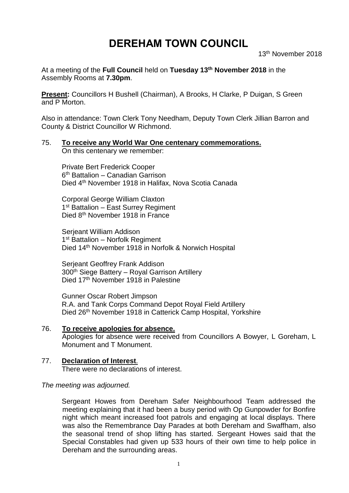# **DEREHAM TOWN COUNCIL**

13th November 2018

At a meeting of the **Full Council** held on **Tuesday 13th November 2018** in the Assembly Rooms at **7.30pm**.

**Present:** Councillors H Bushell (Chairman), A Brooks, H Clarke, P Duigan, S Green and P Morton.

Also in attendance: Town Clerk Tony Needham, Deputy Town Clerk Jillian Barron and County & District Councillor W Richmond.

75. **To receive any World War One centenary commemorations.** On this centenary we remember:

Private Bert Frederick Cooper 6 th Battalion – Canadian Garrison Died 4th November 1918 in Halifax, Nova Scotia Canada

Corporal George William Claxton 1<sup>st</sup> Battalion - East Surrey Regiment Died 8th November 1918 in France

Serjeant William Addison 1<sup>st</sup> Battalion - Norfolk Regiment Died 14th November 1918 in Norfolk & Norwich Hospital

Serjeant Geoffrey Frank Addison 300th Siege Battery – Royal Garrison Artillery Died 17<sup>th</sup> November 1918 in Palestine

Gunner Oscar Robert Jimpson R.A. and Tank Corps Command Depot Royal Field Artillery Died 26<sup>th</sup> November 1918 in Catterick Camp Hospital, Yorkshire

# 76. **To receive apologies for absence.**

Apologies for absence were received from Councillors A Bowyer, L Goreham, L Monument and T Monument.

# 77. **Declaration of Interest**.

There were no declarations of interest.

#### *The meeting was adjourned.*

Sergeant Howes from Dereham Safer Neighbourhood Team addressed the meeting explaining that it had been a busy period with Op Gunpowder for Bonfire night which meant increased foot patrols and engaging at local displays. There was also the Remembrance Day Parades at both Dereham and Swaffham, also the seasonal trend of shop lifting has started. Sergeant Howes said that the Special Constables had given up 533 hours of their own time to help police in Dereham and the surrounding areas.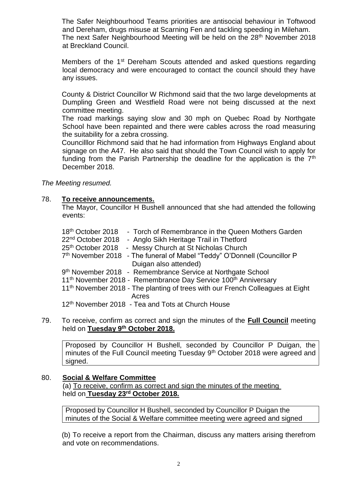The Safer Neighbourhood Teams priorities are antisocial behaviour in Toftwood and Dereham, drugs misuse at Scarning Fen and tackling speeding in Mileham. The next Safer Neighbourhood Meeting will be held on the 28<sup>th</sup> November 2018 at Breckland Council.

Members of the 1<sup>st</sup> Dereham Scouts attended and asked questions regarding local democracy and were encouraged to contact the council should they have any issues.

County & District Councillor W Richmond said that the two large developments at Dumpling Green and Westfield Road were not being discussed at the next committee meeting.

The road markings saying slow and 30 mph on Quebec Road by Northgate School have been repainted and there were cables across the road measuring the suitability for a zebra crossing.

Councilllor Richmond said that he had information from Highways England about signage on the A47. He also said that should the Town Council wish to apply for funding from the Parish Partnership the deadline for the application is the  $7<sup>th</sup>$ December 2018.

*The Meeting resumed.*

#### 78. **To receive announcements.**

The Mayor, Councillor H Bushell announced that she had attended the following events:

| 18 <sup>th</sup> October 2018<br>- Torch of Remembrance in the Queen Mothers Garden<br>22 <sup>nd</sup> October 2018<br>- Anglo Sikh Heritage Trail in Thetford |
|-----------------------------------------------------------------------------------------------------------------------------------------------------------------|
| 25th October 2018 - Messy Church at St Nicholas Church                                                                                                          |
| 7th November 2018 - The funeral of Mabel "Teddy" O'Donnell (Councillor P                                                                                        |
| Duigan also attended)                                                                                                                                           |
| 9th November 2018 - Remembrance Service at Northgate School                                                                                                     |
| 11 <sup>th</sup> November 2018 - Remembrance Day Service 100 <sup>th</sup> Anniversary                                                                          |
| 11 <sup>th</sup> November 2018 - The planting of trees with our French Colleagues at Eight<br>Acres                                                             |
| 12 <sup>th</sup> November 2018 - Tea and Tots at Church House                                                                                                   |
|                                                                                                                                                                 |

#### 79. To receive, confirm as correct and sign the minutes of the **Full Council** meeting held on **Tuesday 9 th October 2018.**

Proposed by Councillor H Bushell, seconded by Councillor P Duigan, the minutes of the Full Council meeting Tuesday 9<sup>th</sup> October 2018 were agreed and signed.

#### 80. **Social & Welfare Committee**

(a) To receive, confirm as correct and sign the minutes of the meeting held on **Tuesday 23rd October 2018.**

Proposed by Councillor H Bushell, seconded by Councillor P Duigan the minutes of the Social & Welfare committee meeting were agreed and signed

(b) To receive a report from the Chairman, discuss any matters arising therefrom and vote on recommendations.